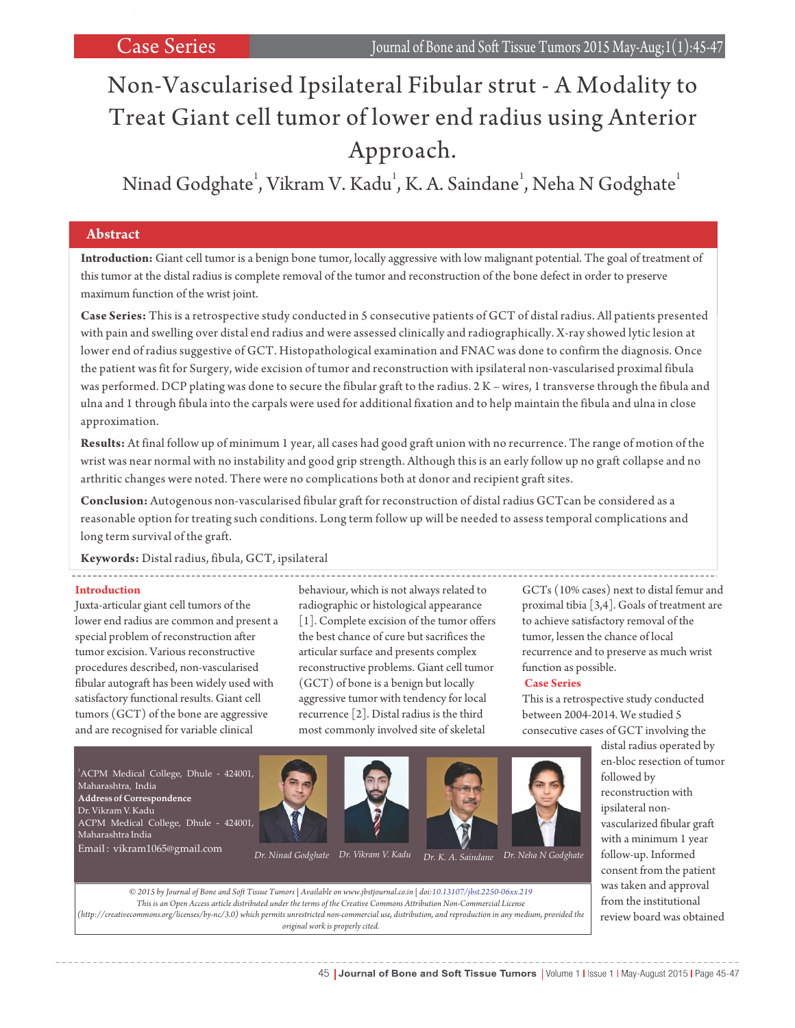# Non-Vascularised Ipsilateral Fibular strut - A Modality to Treat Giant cell tumor of lower end radius using Anterior Approach.

Ninad Godghate<sup>1</sup>, Vikram V. Kadu<sup>1</sup>, K. A. Saindane<sup>1</sup>, Neha N Godghate<sup>1</sup>

### **Abstract**

**Introduction:** Giant cell tumor is a benign bone tumor, locally aggressive with low malignant potential. The goal of treatment of this tumor at the distal radius is complete removal of the tumor and reconstruction of the bone defect in order to preserve maximum function of the wrist joint.

**Case Series:** This is a retrospective study conducted in 5 consecutive patients of GCT of distal radius. All patients presented with pain and swelling over distal end radius and were assessed clinically and radiographically. X-ray showed lytic lesion at lower end of radius suggestive of GCT. Histopathological examination and FNAC was done to confirm the diagnosis. Once the patient was fit for Surgery, wide excision of tumor and reconstruction with ipsilateral non-vascularised proximal fibula was performed. DCP plating was done to secure the fibular graft to the radius. 2 K – wires, 1 transverse through the fibula and ulna and 1 through fibula into the carpals were used for additional fixation and to help maintain the fibula and ulna in close approximation.

**Results:** At final follow up of minimum 1 year, all cases had good graft union with no recurrence. The range of motion of the wrist was near normal with no instability and good grip strength. Although this is an early follow up no graft collapse and no arthritic changes were noted. There were no complications both at donor and recipient graft sites.

**Conclusion:** Autogenous non-vascularised fibular graft for reconstruction of distal radius GCTcan be considered as a reasonable option for treating such conditions. Long term follow up will be needed to assess temporal complications and long term survival of the graft.

**Keywords:** Distal radius, fibula, GCT, ipsilateral

#### **Introduction**

Juxta-articular giant cell tumors of the lower end radius are common and present a special problem of reconstruction after tumor excision. Various reconstructive procedures described, non-vascularised fibular autograft has been widely used with satisfactory functional results. Giant cell tumors (GCT) of the bone are aggressive and are recognised for variable clinical

behaviour, which is not always related to radiographic or histological appearance [1]. Complete excision of the tumor offers the best chance of cure but sacrifices the articular surface and presents complex reconstructive problems. Giant cell tumor (GCT) of bone is a benign but locally aggressive tumor with tendency for local recurrence [2]. Distal radius is the third most commonly involved site of skeletal

GCTs (10% cases) next to distal femur and proximal tibia [3,4]. Goals of treatment are to achieve satisfactory removal of the tumor, lessen the chance of local recurrence and to preserve as much wrist function as possible.

#### **Case Series**

This is a retrospective study conducted between 2004-2014. We studied 5 consecutive cases of GCT involving the



*This is an Open Access article distributed under the terms of the Creative Commons Attribution Non-Commercial License (http://creativecommons.org/licenses/by-nc/3.0) which permits unrestricted non-commercial use, distribution, and reproduction in any medium, provided the original work is properly cited.*

distal radius operated by en-bloc resection of tumor followed by reconstruction with ipsilateral nonvascularized fibular graft with a minimum 1 year follow-up. Informed consent from the patient was taken and approval from the institutional review board was obtained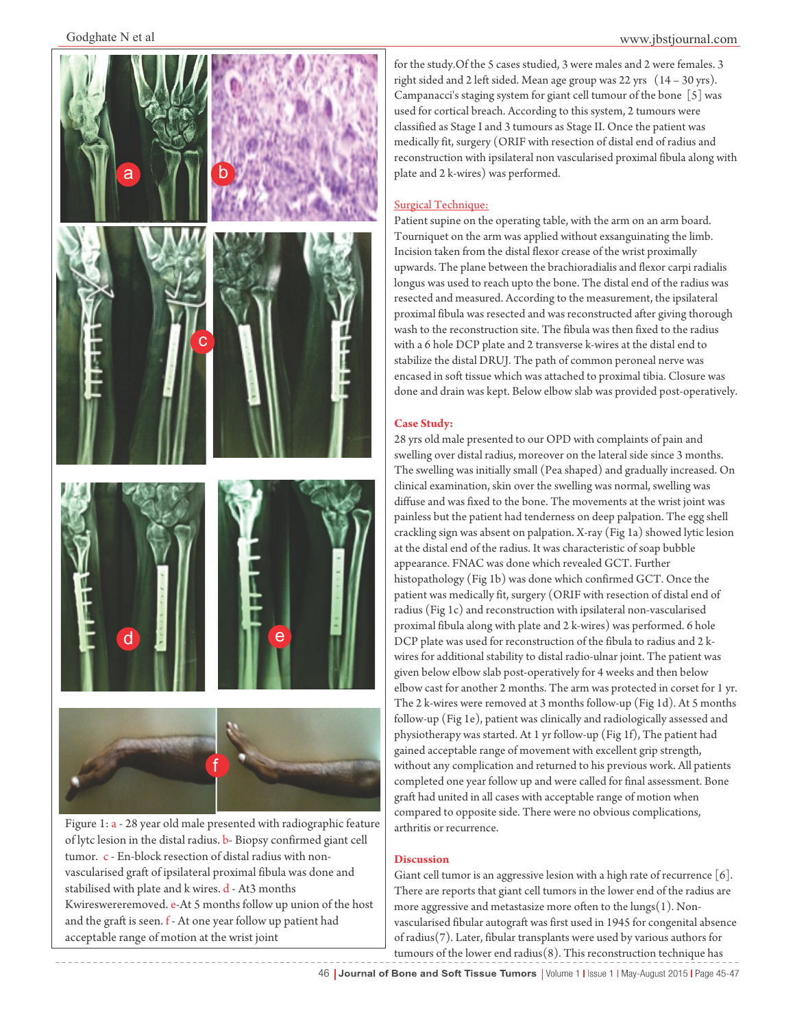

of lytc lesion in the distal radius. b- Biopsy confirmed giant cell tumor. c - En-block resection of distal radius with nonvascularised graft of ipsilateral proximal fibula was done and stabilised with plate and k wires. d - At3 months Kwireswereremoved. e-At 5 months follow up union of the host and the graft is seen. f - At one year follow up patient had acceptable range of motion at the wrist joint

for the study.Of the 5 cases studied, 3 were males and 2 were females. 3 right sided and 2 left sided. Mean age group was 22 yrs (14 – 30 yrs). Campanacci's staging system for giant cell tumour of the bone [5] was used for cortical breach. According to this system, 2 tumours were classified as Stage I and 3 tumours as Stage II. Once the patient was medically fit, surgery (ORIF with resection of distal end of radius and reconstruction with ipsilateral non vascularised proximal fibula along with plate and 2 k-wires) was performed.

#### Surgical Technique:

Patient supine on the operating table, with the arm on an arm board. Tourniquet on the arm was applied without exsanguinating the limb. Incision taken from the distal flexor crease of the wrist proximally upwards. The plane between the brachioradialis and flexor carpi radialis longus was used to reach upto the bone. The distal end of the radius was resected and measured. According to the measurement, the ipsilateral proximal fibula was resected and was reconstructed after giving thorough wash to the reconstruction site. The fibula was then fixed to the radius with a 6 hole DCP plate and 2 transverse k-wires at the distal end to stabilize the distal DRUJ. The path of common peroneal nerve was encased in soft tissue which was attached to proximal tibia. Closure was done and drain was kept. Below elbow slab was provided post-operatively.

#### **Case Study:**

28 yrs old male presented to our OPD with complaints of pain and swelling over distal radius, moreover on the lateral side since 3 months. The swelling was initially small (Pea shaped) and gradually increased. On clinical examination, skin over the swelling was normal, swelling was diffuse and was fixed to the bone. The movements at the wrist joint was painless but the patient had tenderness on deep palpation. The egg shell crackling sign was absent on palpation. X-ray (Fig 1a) showed lytic lesion at the distal end of the radius. It was characteristic of soap bubble appearance. FNAC was done which revealed GCT. Further histopathology (Fig 1b) was done which confirmed GCT. Once the patient was medically fit, surgery (ORIF with resection of distal end of radius (Fig 1c) and reconstruction with ipsilateral non-vascularised proximal fibula along with plate and 2 k-wires) was performed. 6 hole DCP plate was used for reconstruction of the fibula to radius and 2 kwires for additional stability to distal radio-ulnar joint. The patient was given below elbow slab post-operatively for 4 weeks and then below elbow cast for another 2 months. The arm was protected in corset for 1 yr. The 2 k-wires were removed at 3 months follow-up (Fig 1d). At 5 months follow-up (Fig 1e), patient was clinically and radiologically assessed and physiotherapy was started. At 1 yr follow-up (Fig 1f), The patient had gained acceptable range of movement with excellent grip strength, without any complication and returned to his previous work. All patients completed one year follow up and were called for final assessment. Bone graft had united in all cases with acceptable range of motion when compared to opposite side. There were no obvious complications, arthritis or recurrence.

#### **Discussion**

Giant cell tumor is an aggressive lesion with a high rate of recurrence [6]. There are reports that giant cell tumors in the lower end of the radius are more aggressive and metastasize more often to the lungs(1). Nonvascularised fibular autograft was first used in 1945 for congenital absence of radius(7). Later, fibular transplants were used by various authors for tumours of the lower end radius(8). This reconstruction technique has